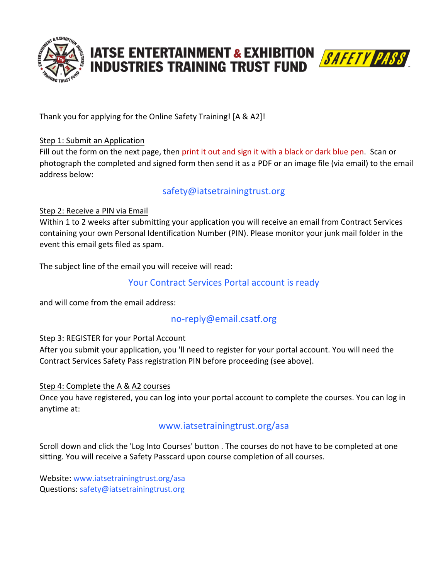

# **IATSE ENTERTAINMENT & EXHIBITION SAFETY PASS**



Thank you for applying for the Online Safety Training! [A & A2]!

### Step 1: Submit an Application

Fill out the form on the next page, then print it out and sign it with a black or dark blue pen. Scan or photograph the completed and signed form then send it as a PDF or an image file (via email) to the email address below:

# safety@iatsetrainingtrust.org

#### Step 2: Receive a PIN via Email

Within 1 to 2 weeks after submitting your application you will receive an email from Contract Services containing your own Personal Identification Number (PIN). Please monitor your junk mail folder in the event this email gets filed as spam.

The subject line of the email you will receive will read:

# Your Contract Services Portal account is ready

and will come from the email address:

# no-reply@email.csatf.org

#### Step 3: REGISTER for your Portal Account

After you submit your application, you 'll need to register for your portal account. You will need the Contract Services Safety Pass registration PIN before proceeding (see above).

#### Step 4: Complete the A & A2 courses

Once you have registered, you can log into your portal account to complete the courses. You can log in anytime at:

### www.iatsetrainingtrust.org/asa

Scroll down and click the 'Log Into Courses' button . The courses do not have to be completed at one sitting. You will receive a Safety Passcard upon course completion of all courses.

Website: www.iatsetrainingtrust.org/asa Questions: safety@iatsetrainingtrust.org